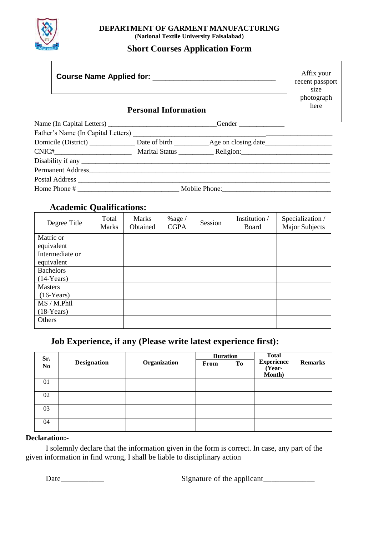

#### **DEPARTMENT OF GARMENT MANUFACTURING (National Textile University Faisalabad)**

# **Short Courses Application Form**

|  |                             |  | Affix your<br>recent passport<br>size<br>photograph |
|--|-----------------------------|--|-----------------------------------------------------|
|  | <b>Personal Information</b> |  | here                                                |
|  |                             |  |                                                     |
|  |                             |  |                                                     |
|  |                             |  |                                                     |
|  |                             |  |                                                     |
|  |                             |  |                                                     |
|  |                             |  |                                                     |
|  |                             |  |                                                     |
|  |                             |  |                                                     |

# **Academic Qualifications:**

| Degree Title     | Total<br><b>Marks</b> | <b>Marks</b><br>Obtained | $%$ age /<br><b>CGPA</b> | Session | Institution /<br>Board | Specialization /<br><b>Major Subjects</b> |
|------------------|-----------------------|--------------------------|--------------------------|---------|------------------------|-------------------------------------------|
| Matric or        |                       |                          |                          |         |                        |                                           |
| equivalent       |                       |                          |                          |         |                        |                                           |
| Intermediate or  |                       |                          |                          |         |                        |                                           |
| equivalent       |                       |                          |                          |         |                        |                                           |
| <b>Bachelors</b> |                       |                          |                          |         |                        |                                           |
| $(14$ -Years)    |                       |                          |                          |         |                        |                                           |
| <b>Masters</b>   |                       |                          |                          |         |                        |                                           |
| $(16$ -Years)    |                       |                          |                          |         |                        |                                           |
| MS / M.Phil      |                       |                          |                          |         |                        |                                           |
| $(18-Years)$     |                       |                          |                          |         |                        |                                           |
| Others           |                       |                          |                          |         |                        |                                           |

# **Job Experience, if any (Please write latest experience first):**

| Sr.            |                    |              | <b>Duration</b> |    | <b>Total</b>                |                |
|----------------|--------------------|--------------|-----------------|----|-----------------------------|----------------|
| N <sub>0</sub> | <b>Designation</b> | Organization | From            | Tо | <b>Experience</b><br>(Year- | <b>Remarks</b> |
|                |                    |              |                 |    | Month)                      |                |
| 01             |                    |              |                 |    |                             |                |
| 02             |                    |              |                 |    |                             |                |
| 03             |                    |              |                 |    |                             |                |
| 04             |                    |              |                 |    |                             |                |

#### **Declaration:-**

I solemnly declare that the information given in the form is correct. In case, any part of the given information in find wrong, I shall be liable to disciplinary action

Date\_\_\_\_\_\_\_\_\_\_\_ Signature of the applicant\_\_\_\_\_\_\_\_\_\_\_\_\_